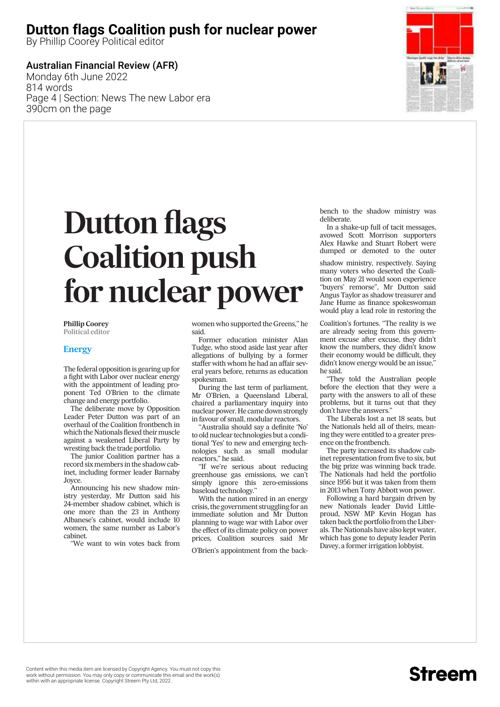# **Dutton flags Coalition push for nuclear power**

By Phillip Coorey Political editor

### Australian Financial Review (AFR)

Monday 6th June 2022 814 words Page 4 | Section: News The new Labor era 390cm on the page



# *Dutton flags Coalition push for nuclear power*

**Phillip Coorey Political editor**

#### **Energy**

*The federal opposition is gearing up for a fight with Labor over nuclear energy with the appointment of leading proponent Ted O'Brien to the climate change and energy portfolio.*

*The deliberate move by Opposition Leader Peter Dutton was part of an overhaul of the Coalition frontbench in* which the Nationals flexed their muscle *against a weakened Liberal Party by wresting back the trade portfolio.*

*The junior Coalition partner has a record sixmembers in the shadow cabinet, including former leader Barnaby Joyce.*

*Announcing his new shadow ministry yesterday, Mr Dutton said his 24-member shadow cabinet, which is one more than the 23 in Anthony Albanese's cabinet, would include 10 women, the same number as Labor's cabinet.*

*''We want to win votes back from*

*women who supported the Greens,'' he said.*

*Former education minister Alan Tudge, who stood aside last year after allegations of bullying by a former staffer with whom he had an affair several years before, returns as education spokesman.*

*During the last term of parliament, Mr O'Brien, a Queensland Liberal, chaired a parliamentary inquiry into nuclear power. He came down strongly in favour of small, modular reactors.*

*''Australia should say a definite 'No' to old nuclear technologies but a conditional 'Yes' to new and emerging technologies such as small modular reactors,'' he said.*

*''If we're serious about reducing greenhouse gas emissions, we can't simply ignore this zero-emissions baseload technology.''*

*With the nation mired in an energy crisis, the government struggling for an immediate solution and Mr Dutton planning to wage war with Labor over the effect of its climate policy on power prices, Coalition sources said Mr*

*O'Brien's appointment from the back-*

*bench to the shadow ministry was deliberate.*

*In a shake-up full of tacit messages, avowed Scott Morrison supporters Alex Hawke and Stuart Robert were dumped or demoted to the outer*

*shadow ministry, respectively. Saying many voters who deserted the Coalition on May 21 would soon experience ''buyers' remorse'', Mr Dutton said Angus Taylor as shadow treasurer and Jane Hume as finance spokeswoman would play a lead role in restoring the*

*Coalition's fortunes. ''The reality is we are already seeing from this government excuse after excuse, they didn't know the numbers, they didn't know their economy would be difficult, they didn't know energy would be an issue,'' he said.*

*''They told the Australian people before the election that they were a party with the answers to all of these problems, but it turns out that they don't have the answers.''*

*The Liberals lost a net 18 seats, but the Nationals held all of theirs, meaning they were entitled to a greater presence on the frontbench.*

*The party increased its shadow cabinet representation from five to six, but the big prize was winning back trade. The Nationals had held the portfolio since 1956 but it was taken from them in 2013 when Tony Abbott won power.*

*Following a hard bargain driven by new Nationals leader David Littleproud, NSW MP Kevin Hogan has taken back the portfolio from the Liberals. The Nationals have also kept water, which has gone to deputy leader Perin Davey, a former irrigation lobbyist.*

# Streem